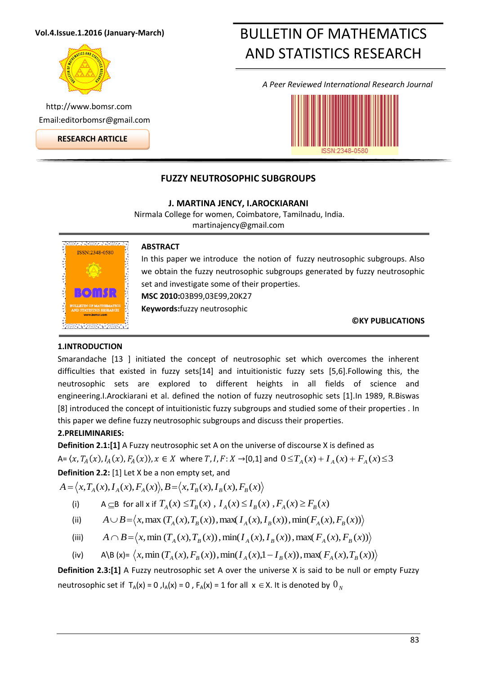## **Vol.4.Issue.1.2016 (January-March)**



http://www.bomsr.com Email:editorbomsr@gmail.com

**RESEARCH ARTICLE**

# BULLETIN OF MATHEMATICS AND STATISTICS RESEARCH

*A Peer Reviewed International Research Journal*



# **FUZZY NEUTROSOPHIC SUBGROUPS**

**J. MARTINA JENCY, I.AROCKIARANI**

Nirmala College for women, Coimbatore, Tamilnadu, India. martinajency@gmail.com



### **ABSTRACT**

In this paper we introduce the notion of fuzzy neutrosophic subgroups. Also we obtain the fuzzy neutrosophic subgroups generated by fuzzy neutrosophic set and investigate some of their properties. **MSC 2010:**03B99,03E99,20K27 **Keywords:**fuzzy neutrosophic

**©KY PUBLICATIONS**

# **1.INTRODUCTION**

Smarandache [13 ] initiated the concept of neutrosophic set which overcomes the inherent difficulties that existed in fuzzy sets[14] and intuitionistic fuzzy sets [5,6].Following this, the neutrosophic sets are explored to different heights in all fields of science and engineering.I.Arockiarani et al. defined the notion of fuzzy neutrosophic sets [1].In 1989, R.Biswas [8] introduced the concept of intuitionistic fuzzy subgroups and studied some of their properties . In this paper we define fuzzy neutrosophic subgroups and discuss their properties.

# **2.PRELIMINARIES:**

**Definition 2.1:[1]** A Fuzzy neutrosophic set A on the universe of discourse X is defined as  $A = (x, T_A(x), I_A(x), F_A(x)), x \in X$  where  $T, I, F: X \to [0,1]$  and  $0 \le T_A(x) + T_A(x) + F_A(x) \le 3$ 

**Definition 2.2:** [1] Let X be a non empty set, and

 $A = \langle x, T_A(x), I_A(x), F_A(x) \rangle, B = \langle x, T_B(x), I_B(x), F_B(x) \rangle$ 

- (i)  $A \subseteq B$  for all x if  $T_A(x) \le T_B(x)$ ,  $I_A(x) \le I_B(x)$ ,  $F_A(x) \ge F_B(x)$
- (ii)  $A \cup B = \langle x, \max(T_A(x), T_B(x)), \max(T_A(x), I_B(x)), \min(F_A(x), F_B(x)) \rangle$
- (iii)  $A \cap B = \langle x, \min(T_A(x), T_B(x)), \min(T_A(x), I_B(x)), \max(F_A(x), F_B(x)) \rangle$
- (iv) A\B (x)=  $\langle x, \min(T_A(x), F_B(x)), \min(T_A(x),1 I_B(x)), \max(F_A(x), T_B(x))$

**Definition 2.3:[1]** A Fuzzy neutrosophic set A over the universe X is said to be null or empty Fuzzy neutrosophic set if  $T_A(x) = 0$  ,  $I_A(x) = 0$  ,  $F_A(x) = 1$  for all  $x \in X$ . It is denoted by  $0\overline{N_A}$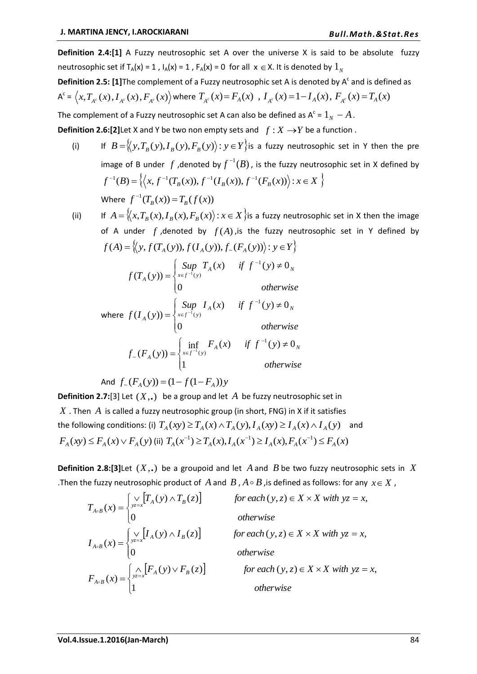**Definition 2.4:[1]** A Fuzzy neutrosophic set A over the universe X is said to be absolute fuzzy neutrosophic set if  $T_A(x) = 1$  ,  $I_A(x) = 1$  ,  $F_A(x) = 0$  for all  $x \in X$ . It is denoted by  $1_N$ 

Definition 2.5: [1] The complement of a Fuzzy neutrosophic set A is denoted by A<sup>c</sup> and is defined as

$$
A^{c} = \left\langle x, T_{A^{c}}(x), I_{A^{c}}(x), F_{A^{c}}(x) \right\rangle \text{ where } T_{A^{c}}(x) = F_{A}(x), I_{A^{c}}(x) = 1 - I_{A}(x), F_{A^{c}}(x) = T_{A}(x)
$$

The complement of a Fuzzy neutrosophic set A can also be defined as A $\mathsf{^c}$  =  $1_N - A$  .

**Definition 2.6:[2]** Let X and Y be two non empty sets and  $f: X \rightarrow Y$  be a function.

- (i) If  $B = \{(y, T_B(y), I_B(y), F_B(y)): y \in Y\}$  is a fuzzy neutrosophic set in Y then the pre image of B under  $f$  , denoted by  $f^{-1}(B)$  , is the fuzzy neutrosophic set in X defined by  $f^{-1}(B) = \left\{ (x, f^{-1}(T_B(x)), f^{-1}(I_B(x)), f^{-1}(F_B(x))) \right\} : x \in X \right\}$ Where  $f^{-1}(T_B(x)) = T_B(f(x))$ -
- $(ii)$  $A = \big\langle\!\big\langle x, T_{B}(x), I_{B}(x), F_{B}(x)\big\rangle\! : x\!\in\! X\big\rangle$ is a fuzzy neutrosophic set in X then the image of A under  $f$ , denoted by  $f(A)$ , is the fuzzy neutrosophic set in Y defined by  $f(A) = \{ (y, f(T_A(y)), f(I_A(y)), f( F_A(y)) \}$ :  $y \in Y \}$

$$
f(T_A(y)) = \begin{cases} \n\sup_{x \in f^{-1}(y)} T_A(x) & \text{if } f^{-1}(y) \neq 0_N \\
0 & \text{otherwise}\n\end{cases}
$$
\n
$$
\text{where } f(I_A(y)) = \begin{cases} \n\sup_{x \in f^{-1}(y)} I_A(x) & \text{if } f^{-1}(y) \neq 0_N \\
0 & \text{otherwise}\n\end{cases}
$$

$$
otherwise
$$

$$
\begin{aligned}\n\left(0 & \text{otherwise} \right) \\
f_{\sim}(F_A(y)) = \begin{cases}\n\inf_{x \in f^{-1}(y)} F_A(x) & \text{if } f^{-1}(y) \neq 0_N \\
1 & \text{otherwise}\n\end{cases}\n\end{aligned}
$$

And 
$$
f_*(F_A(y)) = (1 - f(1 - F_A))y
$$

**Definition 2.7:**[3] Let (*X*,.) be a group and let *A* be fuzzy neutrosophic set in  $X$  . Then  $A$  is called a fuzzy neutrosophic group (in short, FNG) in X if it satisfies

the following conditions: (i)  $T_A(xy) \ge T_A(x) \wedge T_A(y)$ ,  $I_A(xy) \ge I_A(x) \wedge I_A(y)$  and  $F_A(xy) \le F_A(x) \vee F_A(y)$  (ii)  $T_A(x^{-1}) \ge T_A(x), I_A(x^{-1}) \ge I_A(x), F_A(x^{-1}) \le F_A(x)$ 

**Definition 2.8:[3]** Let  $(X,.)$  be a groupoid and let  $A$  and  $B$  be two fuzzy neutrosophic sets in  $X$ . Then the fuzzy neutrosophic product of  $A$  and  $B$  ,  $A \circ B$  , is defined as follows: for any  $x \in X$  ,

$$
T_{A \circ B}(x) = \begin{cases} \vee_{y \in x} [T_A(y) \wedge T_B(z)] & \text{for each } (y, z) \in X \times X \text{ with } yz = x, \\ 0 & \text{otherwise} \end{cases}
$$
  
\n
$$
I_{A \circ B}(x) = \begin{cases} \vee_{y \in x} [I_A(y) \wedge I_B(z)] & \text{for each } (y, z) \in X \times X \text{ with } yz = x, \\ 0 & \text{otherwise} \end{cases}
$$
  
\n
$$
F_{A \circ B}(x) = \begin{cases} \wedge_{x \in x} [F_A(y) \vee F_B(z)] & \text{for each } (y, z) \in X \times X \text{ with } yz = x, \\ 1 & \text{otherwise} \end{cases}
$$
  
\n
$$
F_{A \circ B}(x) = \begin{cases} \wedge_{x \in x} [F_A(y) \vee F_B(z)] & \text{for each } (y, z) \in X \times X \text{ with } yz = x, \\ 1 & \text{otherwise} \end{cases}
$$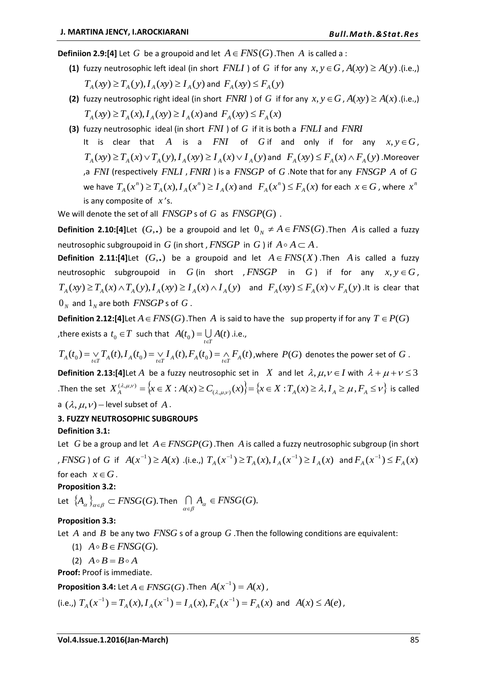**Definiion 2.9:[4]** Let  $G$  be a groupoid and let  $A \in FNS(G)$  . Then  $A$  is called a :

- **(1)** fuzzy neutrosophic left ideal (in short  $FNLI$ ) of G if for any  $x, y \in G$ ,  $A(xy) \ge A(y)$ . (i.e.,)  $T_A(xy) \ge T_A(y), I_A(xy) \ge I_A(y)$  and  $F_A(xy) \le F_A(y)$
- **(2)** fuzzy neutrosophic right ideal (in short *FNRI*) of G if for any  $x, y \in G$ ,  $A(xy) \ge A(x)$ . (i.e.,)  $T_A(xy) \ge T_A(x), I_A(xy) \ge I_A(x)$  and  $F_A(xy) \le F_A(x)$
- **(3)** fuzzy neutrosophic ideal (in short *FNI* ) of *G* if it is both a *FNLI* and *FNRI* It is clear that A is a  $FNI$  of G if and only if for any  $x, y \in G$ ,  $T_A(xy) \ge T_A(x) \vee T_A(y), I_A(xy) \ge I_A(x) \vee I_A(y)$  and  $F_A(xy) \le F_A(x) \wedge F_A(y)$ . Moreover a FNI (respectively FNLI, FNRI) is a FNSGP of G. Note that for any FNSGP A of G. we have  $T_A(x^n) \ge T_A(x), I_A(x^n) \ge I_A(x)$  $_A(\lambda)$ ,  $\mathbf{1}_A$  $F_A(x^n) \ge T_A(x), I_A(x^n) \ge I_A(x)$  and  $\ F_A(x^n) \le F_A(x)$  for each  $x \in G$ , where  $x^n$ is any composite of *x* 's.

We will denote the set of all  $\mathit{FNSGP}$  s of  $G$  as  $\mathit{FNSGP}(G)$ .

**Definition 2.10:[4]**Let  $(G,.)$  be a groupoid and let  $0_N \neq A \in FNS(G)$ . Then A is called a fuzzy neutrosophic subgroupoid in  $\overline{G}$  (in short ,  $\overline{FNSGP}$  in  $\overline{G}$  ) if  $\overline{A \circ A}$   $\subset$   $\overline{A}$  .

**Definition 2.11:[4]**Let  $(G,.)$  be a groupoid and let  $A \in FNS(X)$ . Then A is called a fuzzy neutrosophic subgroupoid in  $G$  (in short ,  $FNSGP$  in  $G$ ) if for any  $x, y \in G$ ,  $T_A(xy) \ge T_A(x) \wedge T_A(y), I_A(xy) \ge I_A(x) \wedge I_A(y)$  and  $F_A(xy) \le F_A(x) \vee F_A(y)$  . It is clear that  $0_{_N}$  and  $1_{_N}$  are both  $\mathit{FNSGP}$  s of  $G$  .

**Definition 2.12:[4]**Let  $A \in FNS(G)$ . Then  $A$  is said to have the sup property if for any  $T \in P(G)$ , there exists a  $t_0 \in T$  such that  $A(t_0) = \bigcup_{t \in T} A(t)$  .i.e.,

 $T_A(t_0)=\mathop{\vee}\limits_{t\in T}T_A(t),$   $I_A(t_0)=\mathop{\vee}\limits_{t\in T}I_A(t),$   $F_A(t_0)=\mathop{\wedge}\limits_{t\in T}F_A(t)$  , where  $\ P(G)$  denotes the power set of  $G$  .

**Definition 2.13: [4] Let** A be a fuzzy neutrosophic set in X and let  $\lambda, \mu, \nu \in I$  with  $\lambda + \mu + \nu \leq 3$ Then the set  $X_A^{(\lambda,\mu,\nu)} = \left\{x \in X : A(x) \ge C_{(\lambda,\mu,\nu)}(x)\right\} = \left\{x \in X : T_A(x) \ge \lambda, I_A \ge \mu, F_A \le \nu\right\}$  is called a  $(\lambda, \mu, \nu)$  – level subset of A.

### **3. FUZZY NEUTROSOPHIC SUBGROUPS**

### **Definition 3.1:**

Let  $G$  be a group and let  $A \in FNSGP(G)$ . Then  $A$  is called a fuzzy neutrosophic subgroup (in short , *FNSG* ) of G if  $A(x^{-1}) \ge A(x)$  .(i.e.,)  $T_A(x^{-1}) \ge T_A(x)$ ,  $I_A(x^{-1}) \ge I_A(x)$  and  $F_A(x^{-1}) \le F_A(x)$ for each  $x \in G$ .

## **Proposition 3.2:**

Let  $\{A_\alpha\}_{\alpha\in\beta}\subset FNSG(G).$  Then  $\bigcap_{\alpha\in\beta}A_\alpha\in FNSG(G).$ 

## **Proposition 3.3:**

Let  $A$  and  $B$  be any two  $FNSG$  s of a group  $G$  . Then the following conditions are equivalent:

(1)  $A \circ B \in FNSG(G)$ .

(2)  $A \circ B = B \circ A$ 

**Proof:** Proof is immediate.

**Proposition 3.4:** Let  $A \in FNSG(G)$  .Then  $A(x^{-1}) = A(x)$ ,

(i.e.,) 
$$
T_A(x^{-1}) = T_A(x), I_A(x^{-1}) = I_A(x), F_A(x^{-1}) = F_A(x)
$$
 and  $A(x) \le A(e)$ ,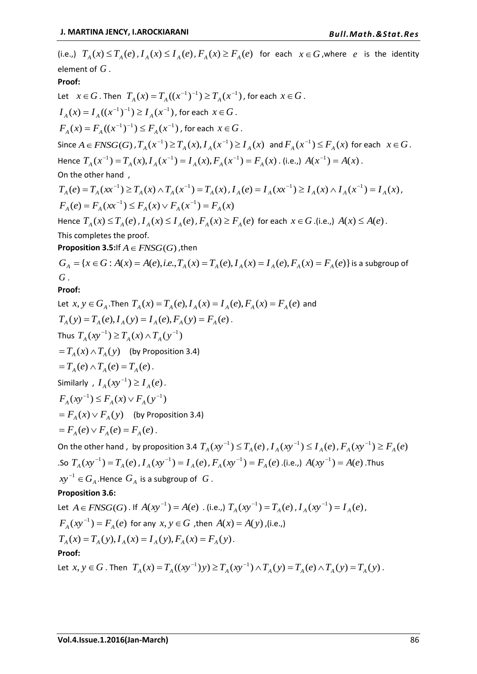(i.e.,)  $T_A(x) \le T_A(e)$ ,  $I_A(x) \le I_A(e)$ ,  $F_A(x) \ge F_A(e)$  for each  $x \in G$ , where e is the identity element of  $\emph{G}$  . **Proof:** Let  $x \in G$  . Then  $T_A(x) = T_A((x^{-1})^{-1}) \ge T_A(x^{-1})$ , for each  $x \in G$ .  $I_A(x) = I_A((x^{-1})^{-1}) \ge I_A(x^{-1})$  , for each  $x \in G$  .  $F_A(x) = F_A((x^{-1})^{-1}) \le F_A(x^{-1})$  , for each  $x \in G$  . Since  $A \in FNSG(G)$  ,  $T_A(x^{-1}) \ge T_A(x)$ ,  $I_A(x^{-1}) \ge I_A(x)$  and  $F_A(x^{-1}) \le F_A(x)$  for each  $x \in G$ . Hence  $T_A(x^{-1}) = T_A(x), I_A(x^{-1}) = I_A(x), F_A(x^{-1}) = F_A(x)$  $\mathcal{F}_{A}^{-1}$ ) =  $T_A(x)$ ,  $I_A(x^{-1}) = I_A(x)$ ,  $F_A(x^{-1}) = F_A(x)$ . (i.e.,)  $A(x^{-1}) = A(x)$ . On the other hand ,  $T_A(e) = T_A(xx^{-1}) \ge T_A(x) \wedge T_A(x^{-1}) = T_A(x)$  $I_A(x) \wedge T_A(x^{-1}) = T_A(x)$ ,  $I_A(e) = I_A(x^{-1}) \ge I_A(x) \wedge I_A(x^{-1}) = I_A(x)$  $I_{A}(x) \geq I_{A}(x) \wedge I_{A}(x^{-1}) = I_{A}(x),$  $F_A(e) = F_A(xx^{-1}) \leq F_A(x) \vee F_A(x^{-1}) = F_A(x)$  $^{-1}$ )  $\lt E$  (x)  $\lt E$  (x<sup>-</sup> Hence  $T_A(x) \le T_A(e)$ ,  $I_A(x) \le I_A(e)$ ,  $F_A(x) \ge F_A(e)$  for each  $x \in G$ . (i.e.,)  $A(x) \le A(e)$ . This completes the proof. **Proposition 3.5:**If  $A \in FNSG(G)$  , then  $G_A = \{x \in G : A(x) = A(e), i.e., T_A(x) = T_A(e), I_A(x) = I_A(e), F_A(x) = F_A(e)\}$  is a subgroup of  $G$ **Proof:** Let  $x, y \in G_A$ . Then  $T_A(x) = T_A(e), I_A(x) = I_A(e), F_A(x) = F_A(e)$  and  $T_A(y) = T_A(e), I_A(y) = I_A(e), F_A(y) = F_A(e)$ . Thus  $T_A(xy^{-1}) \ge T_A(x) \wedge T_A(y^{-1})$  $=T_A(x) \wedge T_A(y)$  (by Proposition 3.4)  $=T_A(e) \wedge T_A(e) = T_A(e)$ . Similarly,  $I_A(xy^{-1}) \geq I_A(e)$ .  $F_A(xy^{-1}) \leq F_A(x) \vee F_A(y^{-1})$  $F_A(x) \vee F_A(y)$  (by Proposition 3.4)  $F_{A}(e) \vee F_{A}(e) = F_{A}(e)$ . On the other hand , by proposition 3.4  $T_A(xy^{-1}) \le T_A(e)$  ,  $I_A(xy^{-1}) \le I_A(e)$  ,  $F_A(xy^{-1}) \ge F_A(e)$  $T_A(xy^{-1}) = T_A(e)$  $I_A(e)$ ,  $I_A(xy^{-1}) = I_A(e)$  $F_A^{\text{-1}}$ ) =  $I_A(e)$ ,  $F_A(xy^{-1}) = F_A(e)$  $A^{-1}$ ) =  $F_A(e)$ .(i.e.,)  $A(xy^{-1}) = A(e)$ .Thus  $xy^{-1} \in G_A$  .Hence  $G_A$  is a subgroup of  $|G|$ . **Proposition 3.6:** Let  $A \in FNSG(G)$ . If  $A(xy^{-1}) = A(e)$  . (i.e.,)  $T_A(xy^{-1}) = T_A(e)$  $I_A(e)$ ,  $I_A(xy^{-1}) = I_A(e)$  $^{-1}) = I_A(e)$ ,  $F_A(xy^{-1}) = F_A(e)$  $f^{-1}$ ) =  $F_A(e)$  for any  $x, y \in G$  , then  $A(x) = A(y)$ , (i.e.,)  $T_A(x) = T_A(y), I_A(x) = I_A(y), F_A(x) = F_A(y).$ **Proof:** Let  $x, y \in G$  . Then  $T_A(x) = T_A((xy^{-1})y) \ge T_A(xy^{-1}) \wedge T_A(y) = T_A(e) \wedge T_A(y) = T_A(y)$  $(T^{-1})$ y)  $\geq T_A(xy^{-1}) \wedge T_A(y) = T_A(e) \wedge T_A(y) = T_A(y)$ .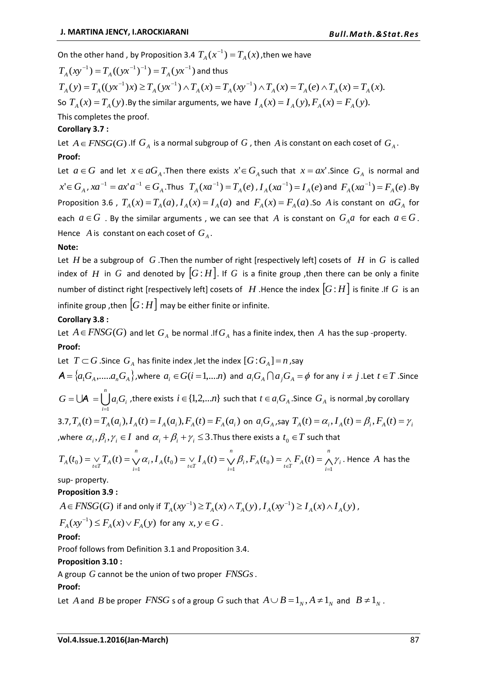On the other hand , by Proposition 3.4  $T_A(x^{-1}) = T_A(x)$  $\sigma^{-1}$ ) =  $T_{A}(x)$ , then we have

 $T_A (xy^{-1}) = T_A ((yx^{-1})^{-1}) = T_A (yx^{-1})$  and thus  $T_A(y) = T_A((yx^{-1})x) \ge T_A(yx^{-1}) \wedge T_A(x) = T_A(xy^{-1}) \wedge T_A(x) = T_A(e) \wedge T_A(x) = T_A(x).$  $(T(x) > T(xx^{-1}) \cdot T(x) = T(x)^{-1}$ So  $T_A(x) = T_A(y)$ . By the similar arguments, we have  $I_A(x) = I_A(y)$ ,  $F_A(x) = F_A(y)$ . This completes the proof.

# **Corollary 3.7 :**

Let  $A \in FNSG(G)$  . If  $G_A$  is a normal subgroup of  $G$  , then  $A$  is constant on each coset of  $G_A$ . **Proof:**

Let  $a \in G$  and let  $x \in aG_A$ . Then there exists  $x' \in G_A$  such that  $x = ax'$ . Since  $G_A$  is normal and  $x' \in G_A$ ,  $xa^{-1} = ax' a^{-1} \in G_A$ . Thus  $T_A(xa^{-1}) = T_A(e)$  $I_A(e)$ ,  $I_A(xa^{-1}) = I_A(e)$  $F_A(e)$  and  $F_A(xa^{-1}) = F_A(e)$  $^{-1}$ ) =  $F_A(e)$ . By Proposition 3.6,  $T_A(x) = T_A(a)$ ,  $I_A(x) = I_A(a)$  and  $F_A(x) = F_A(a)$ . So A is constant on  $aG_A$  for each  $a \in G$  . By the similar arguments, we can see that  $A$  is constant on  $G_A a$  for each  $a \in G$ . Hence  $A$  is constant on each coset of  $G_A$ .

## **Note:**

Let  $H$  be a subgroup of  $G$ . Then the number of right [respectively left] cosets of  $H$  in  $G$  is called index of H in G and denoted by  $|G:H|$ . If G is a finite group , then there can be only a finite number of distinct right [respectively left] cosets of  $|H|$ . Hence the index  $|G:H|$  is finite .If  $|G|$  is an infinite group ,then  $\lfloor G\!:\!H\rfloor$  may be either finite or infinite.

## **Corollary 3.8 :**

Let  $A \in FNSG(G)$  and let  $G_A$  be normal .If  $G_A$  has a finite index, then  $A$  has the sup -property. **Proof:**

Let  $T \subset G$  .Since  $G_A$  has finite index , let the index  $[G:G_A]=n$  , say  $\mathcal{A} = \{a_1G_A,.....a_nG_A\}$ , where  $a_i \in G(i=1,...n)$  and  $a_iG_A \cap a_jG_A = \phi$  for any  $i \neq j$  . Let  $t \in T$  . Since  $\bigcup A = \bigcup^{n}$ *i*  $G = \bigcup A$ <sup>*a*</sup><sub>*i*</sub> $G$ <sub>*i*</sub>  $=1$  $\mathsf{P}=\bigcup \mathsf{A}=\bigcup a_iG_i$  , there exists  $i\in\{1,2,...n\}$  such that  $t\in a_iG_{_A}$  .Since  $G_{_A}$  is normal ,by corollary 3.7,  $T_A(t) = T_A(a_i)$ ,  $I_A(t) = I_A(a_i)$ ,  $F_A(t) = F_A(a_i)$  on  $a_iG_A$ , say  $T_A(t) = \alpha_i$ ,  $I_A(t) = \beta_i$ ,  $F_A(t) = \gamma_i$ 

, where  $\alpha_i$ ,  $\beta_i$ ,  $\gamma_i \in I$  and  $\alpha_i + \beta_i + \gamma_i \leq 3$ . Thus there exists a  $t_0 \in T$  such that

$$
T_A(t_0) = \bigvee_{t \in T} T_A(t) = \bigvee_{i=1}^n \alpha_i, I_A(t_0) = \bigvee_{t \in T} I_A(t) = \bigvee_{i=1}^n \beta_i, F_A(t_0) = \bigwedge_{t \in T} F_A(t) = \bigwedge_{i=1}^n \gamma_i
$$
. Hence *A* has the

sup- property.

### **Proposition 3.9 :**

 $A$   $\in$   $FNSG(G)$  if and only if  $\, T_{_A}(xy^{-1})$   $\ge$   $T_{_A}(x)$   $\wedge$   $T_{_A}(y)$  ,  $I_{_A}(xy^{-1})$   $\ge$   $I_{_A}(x)$   $\wedge$   $I_{_A}(y)$  ,

$$
F_A(xy^{-1}) \le F_A(x) \vee F_A(y) \text{ for any } x, y \in G.
$$

**Proof:**

Proof follows from Definition 3.1 and Proposition 3.4.

# **Proposition 3.10 :**

A group *G* cannot be the union of two proper *FNSGs*.

# **Proof:**

Let A and B be proper  $FNSG$  s of a group G such that  $A \cup B = 1_N$ ,  $A \neq 1_N$  and  $B \neq 1_N$ .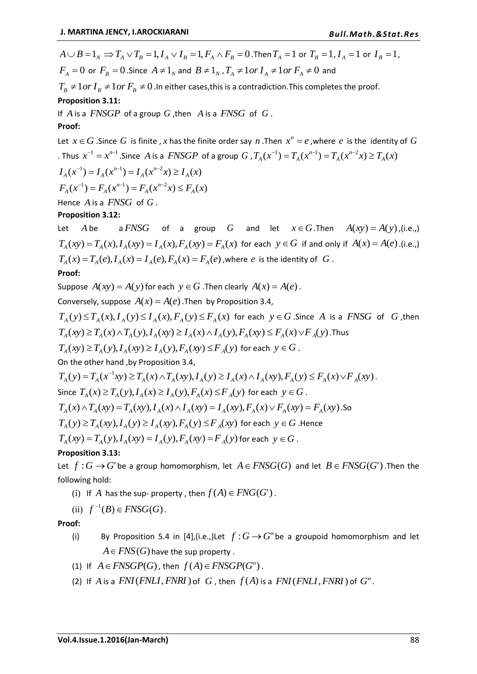$A \cup B = 1_{_N} \Rightarrow T_{_A} \vee T_{_B} = 1, I_{_A} \vee I_{_B} = 1, F_{_A} \wedge F_{_B} = 0$  .Then  $T_{_A} = 1$  or  $T_{_B} = 1$  ,  $I_{_A} = 1$  or  $I_{_B} = 1$  ,  $F_A = 0$  or  $F_B = 0$ . Since  $A \neq 1_N$  and  $B \neq 1_N$ ,  $T_A \neq 1$  or  $I_A \neq 1$  or  $F_A \neq 0$  and  $T_{\scriptscriptstyle B}$   $\neq$  1 *or*  $I_{\scriptscriptstyle B}$   $\neq$  1 *or*  $F_{\scriptscriptstyle B}$   $\neq$  0 .In either cases,this is a contradiction.This completes the proof. **Proposition 3.11:**

If A is a FNSGP of a group G, then A is a FNSG of G. **Proof:**

Let  $x \in G$  . Since  $G$  is finite , x has the finite order say n. Then  $x^n = e$  , where  $e$  is the identity of  $G$ . Thus  $x^{-1} = x^{n-1}$ . Since A is a  $FNSGP$  of a group  $G$  ,  $T_A(x^{-1}) = T_A(x^{n-1}) = T_A(x^{n-2}x) \ge T_A(x)$ *A n*  $T_A(x^{-1}) = T_A(x^{n-1}) = T_A(x^{n-2}x) \ge$ 

 $I_A(x^{-1}) = I_A(x^{n-1}) = I_A(x^{n-2}x) \ge I_A(x)$ *A n*  $I_A(x^{-1}) = I_A(x^{n-1}) = I_A(x^{n-2}x) \ge 0$ *n n*  $^{-1}$ ) =  $F(x^{n-1}) = F(x^{n-1})$ 

$$
F_A(x^{-1}) = F_A(x^{n-1}) = F_A(x^{n-2}x) \le F_A(x)
$$

Hence  $A$  is a  $FNSG$  of  $G$ .

# **Proposition 3.12:**

Let *A* be a *FNSG* of a group *G* and let  $x \in G$ . Then  $A(xy) = A(y)$ , (i.e.,)  $T_A(xy) = T_A(x)$ ,  $I_A(xy) = I_A(x)$ ,  $F_A(xy) = F_A(x)$  for each  $y \in G$  if and only if  $A(x) = A(e)$ . (i.e.,)  $T_A(x) = T_A(e), I_A(x) = I_A(e), F_A(x) = F_A(e)$  , where  $e$  is the identity of  $G$ .

# **Proof:**

Suppose  $A(xy) = A(y)$  for each  $y \in G$ . Then clearly  $A(x) = A(e)$ .

Conversely, suppose  $A(x) = A(e)$ . Then by Proposition 3.4,

 $T_A(y) \leq T_A(x)$ ,  $I_A(y) \leq I_A(x)$ ,  $F_A(y) \leq F_A(x)$  for each  $y \in G$  . Since A is a FNSG of G, then  $T_A(xy) \ge T_A(x) \wedge T_A(y)$ ,  $I_A(xy) \ge I_A(x) \wedge I_A(y)$ ,  $F_A(xy) \le F_A(x) \vee F_A(y)$ . Thus

 $T_A(xy) \ge T_A(y), I_A(xy) \ge I_A(y), F_A(xy) \le F_A(y)$  for each  $y \in G$ .

On the other hand ,by Proposition 3.4,

$$
T_A(y) = T_A(x^{-1}xy) \ge T_A(x) \wedge T_A(xy), I_A(y) \ge I_A(x) \wedge I_A(xy), F_A(y) \le F_A(x) \vee F_A(xy).
$$
  
Since  $T_A(x) \ge T_A(y), I_A(x) \ge I_A(y), F_A(x) \le F_A(y)$  for each  $y \in G$ .  
 $T_A(x) \wedge T_A(xy) = T_A(xy), I_A(x) \wedge I_A(xy) = I_A(xy), F_A(x) \vee F_A(xy) = F_A(xy).$ So  
 $T_A(y) \ge T_A(xy), I_A(y) \ge I_A(xy), F_A(y) \le F_A(xy)$  for each  $y \in G$ . Hence  
 $T_A(xy) = T_A(y), I_A(xy) = I_A(y), F_A(xy) = F_A(y)$  for each  $y \in G$ .

# **Proposition 3.13:**

Let  $f: G \to G$  be a group homomorphism, let  $A \in FNSG(G)$  and let  $B \in FNSG(G')$ . Then the following hold:

(i) If A has the sup-property, then  $f(A) \in FNG(G')$ .

(ii) 
$$
f^{-1}(B) \in FNSG(G)
$$
.

**Proof:**

- (i) By Proposition 5.4 in [4],(i.e.,)Let  $f: G \rightarrow G''$  be a groupoid homomorphism and let  $A \in FNS(G)$  have the sup property .
- (1) If  $A \in FNSGP(G)$ , then  $f(A) \in FNSGP(G^{\prime\prime})$ .
- (2) If  $A$  is a  $FNI(FNLI, FNRI)$  of  $G$ , then  $f(A)$  is a  $FNI(FNLI, FNRI)$  of  $G$ ".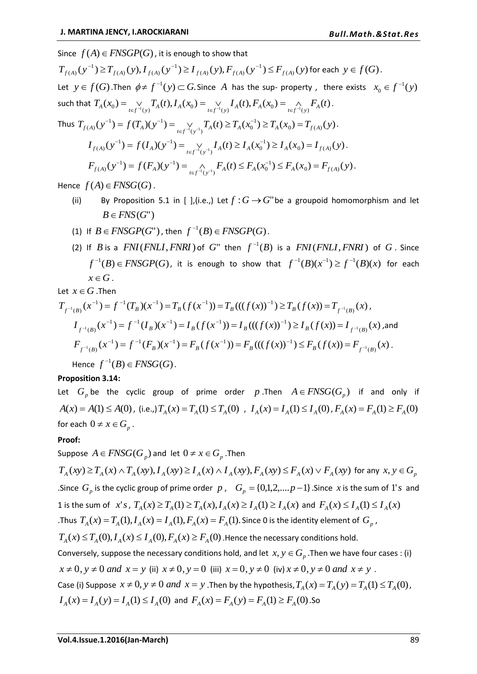Since  $f(A) \in FNSGP(G)$ , it is enough to show that  $(y^{-1}) \ge T_{f(A)}(y), I_{f(A)}(y^{-1}) \ge I_{f(A)}(y), F_{f(A)}(y^{-1}) \le F_{f(A)}(y)$ 1  $(A)$   $(V)$ ,  $\Gamma_{f(A)}$ 1  $(A)$   $(V)$ ,  $I_{f(A)}$  $T_{f(A)}(y^{-1}) \geq T_{f(A)}(y),$   $I_{f(A)}(y^{-1}) \geq I_{f(A)}(y),$   $F_{f(A)}(y^{-1}) \leq F_{f(A)}(y)$  for each  $y \in f(G)$ . Let  $y \in f(G)$ . Then  $\phi \neq f^{-1}(y) \subset G$ . Since A has the sup- property, there exists  $x_0 \in f^{-1}(y)$  $x_0 \in f^{-1}(y)$ such that  $T_A(x_0) = \bigvee_{t \in f^{-1}(y)} T_A(t), I_A(x_0) = \bigvee_{t \in f^{-1}(y)} I_A(t), F_A(x_0) = \bigwedge_{t \in f^{-1}(y)} F_A(t)$ . Thus  $T_{f(A)}(y^{-1}) = f(T_A)(y^{-1}) = \bigvee_{x \in \mathcal{X} \setminus \{1\}} T_A(t) \ge T_A(x_0^{-1}) \ge T_A(x_0) = T_{f(A)}(y)$  $\int_{(\mathbf{y}^{-1})} \mathbf{1}_A(\mathbf{t}) \leq \mathbf{1}_A(\mathcal{A}_0)$  $1 = f(T) \cdot \frac{-1}{2}$  $T_{f(A)}(y^{-1}) = f(T_A)(y^{-1}) = \bigvee_{t \in f^{-1}(y^{-1})} T_A(t) \ge T_A(x_0^{-1}) \ge T_A(x_0) = T_{f(A)}(y)$ Ė  $^{-1}$  $\sqrt{2}$   $f(T)$  $(x)$  $\bigvee_{T_{A} \subset T_{A}} T_{A}(t) \geq T_{A}(x_{0}^{-1}) \geq T_{A}(x_{0}) = T_{f(A)}(y).$  $(y^{-1}) = f(I_A)(y^{-1}) = \bigvee_{x \in I_A} I_A(t) \ge I_A(x_0^{-1}) \ge I_A(x_0) = I_{f(A)}(y)$  $\int_{(\mathbf{y}^{-1})} \mathbf{1}_A(\mathbf{t}) \leq \mathbf{1}_A(\mathcal{A}_0)$  $v^{1}$   $\rightarrow$  f(I)  $\sim$ <sup>-1</sup>  $I_{f(A)}(y^{-1}) = f(I_A)(y^{-1}) = \bigvee_{t \in f^{-1}(y^{-1})} I_A(t) \ge I_A(x_0^{-1}) \ge I_A(x_0) = I_{f(A)}(y)$  $\epsilon$  $^{-1}$  $\sqrt{f(T)}$  $\bigvee_{-1} I_A(t) \geq I_A(x_0^{-1}) \geq I_A(x_0) = I_{f(A)}(y).$  $(y^{-1}) = f(F_A)(y^{-1}) = \bigwedge_{x \in [x-1], x \in F_A} F_A(t) \leq F_A(x_0^{-1}) \leq F_A(x_0) = F_{f(A)}(y)$  $\sum_{(y^{-1})} F_A(t) \geq F_A(\lambda_0)$  $1 = f(F) / (1)^{-1}$  $F_{f(A)}(y^{-1}) = f(F_A)(y^{-1}) = \bigwedge_{t \in f^{-1}(y^{-1})} F_A(t) \le F_A(x_0^{-1}) \le F_A(x_0) = F_{f(A)}(y)$  $\epsilon$  $^{-1}$  $\sqrt{F}$   $\sqrt{F}$  $\bigwedge_{\substack{1_{(1,1)} \ S_{(1,1)}}} F_A(t) \leq F_A(x_0^{-1}) \leq F_A(x_0) = F_{f(A)}(y).$ 

Hence  $f(A) \in FNSG(G)$ .

- (ii) By Proposition 5.1 in [ ], (i.e.,) Let  $f: G \to G''$  be a groupoid homomorphism and let  $B \in FNS(G'')$
- (1) If  $B \in FNSGP(G^{\prime\prime})$ , then  $f^{-1}(B) \in FNSGP(G)$ .
- (2) If *B* is a  $FNI(FNLI, FNRI)$  of *G*" then  $f^{-1}(B)$  is a  $FNI(FNLI, FNRI)$  of *G*. Since  $f^{-1}(B) \in FNSGP(G)$ , it is enough to show that  $f^{-1}(B)(x^{-1}) \geq f^{-1}(B)(x)$  for each  $x \in G$ .

Let  $x \in G$  .Then

$$
T_{f^{-1}(B)}(x^{-1}) = f^{-1}(T_B)(x^{-1}) = T_B(f(x^{-1})) = T_B(((f(x))^{-1}) \ge T_B(f(x)) = T_{f^{-1}(B)}(x),
$$
  
\n
$$
I_{f^{-1}(B)}(x^{-1}) = f^{-1}(I_B)(x^{-1}) = I_B(f(x^{-1})) = I_B(((f(x))^{-1}) \ge I_B(f(x)) = I_{f^{-1}(B)}(x),
$$
and  
\n
$$
F_{f^{-1}(B)}(x^{-1}) = f^{-1}(F_B)(x^{-1}) = F_B(f(x^{-1})) = F_B(((f(x))^{-1}) \le F_B(f(x)) = F_{f^{-1}(B)}(x).
$$
  
\nHence  $f^{-1}(B) \in FNSG(G).$ 

**Proposition 3.14:**

Let  $G_p$  be the cyclic group of prime order p. Then  $A \in FNSG(G_p)$  if and only if  $A(x) = A(1) \le A(0)$ , (i.e.,)  $T_A(x) = T_A(1) \le T_A(0)$ ,  $I_A(x) = I_A(1) \le I_A(0)$ ,  $F_A(x) = F_A(1) \ge F_A(0)$ for each  $0 \neq x \in G_p$ .

### **Proof:**

Suppose  $A \in FNSG(G_p)$  and let  $0 \neq x \in G_p$ . Then  $T_A(xy) \ge T_A(x) \wedge T_A(xy), I_A(xy) \ge I_A(x) \wedge I_A(xy), F_A(xy) \le F_A(x) \vee F_A(xy)$  for any  $x, y \in G_p$ Since  $G_p$  is the cyclic group of prime order p,  $G_p = \{0,1,2,...,p-1\}$ . Since x is the sum of 1's and 1 is the sum of x's,  $T_A(x) \ge T_A(1) \ge T_A(x)$ ,  $I_A(x) \ge I_A(1) \ge I_A(x)$  and  $F_A(x) \le I_A(1) \le I_A(x)$ . Thus  $T_A(x) = T_A(1), I_A(x) = I_A(1), F_A(x) = F_A(1)$ . Since 0 is the identity element of  $G_p$ ,  $T_A(x) \le T_A(0), I_A(x) \le I_A(0), F_A(x) \ge F_A(0)$  . Hence the necessary conditions hold. Conversely, suppose the necessary conditions hold, and let  $x, y \in G_p$  . Then we have four cases : (i)  $x \neq 0$ ,  $y \neq 0$  and  $x = y$  (ii)  $x \neq 0$ ,  $y = 0$  (iii)  $x = 0$ ,  $y \neq 0$  (iv)  $x \neq 0$ ,  $y \neq 0$  and  $x \neq y$ . Case (i) Suppose  $x \neq 0$ ,  $y \neq 0$  and  $x = y$ . Then by the hypothesis,  $T_A(x) = T_A(y) = T_A(1) \leq T_A(0)$ ,  $I_A(x) = I_A(y) = I_A(1) \leq I_A(0)$  and  $F_A(x) = F_A(y) = F_A(1) \geq F_A(0)$ . So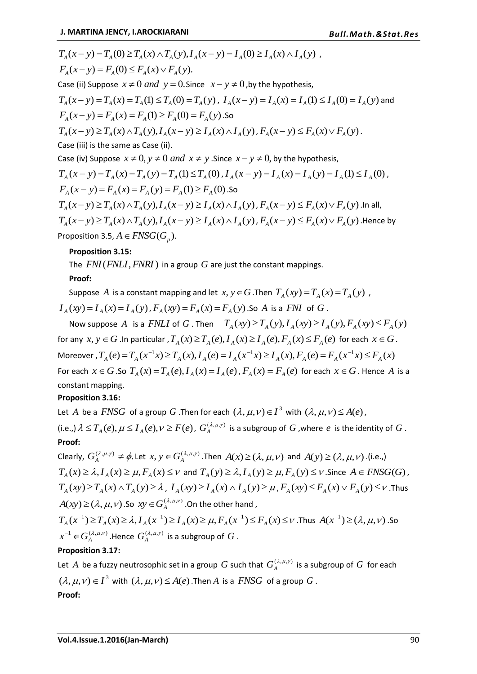$$
T_A(x - y) = T_A(0) \ge T_A(x) \land T_A(y), I_A(x - y) = I_A(0) \ge I_A(x) \land I_A(y)
$$
  
\n
$$
F_A(x - y) = F_A(0) \le F_A(x) \lor F_A(y).
$$
  
\nCase (ii) Suppose  $x \ne 0$  and  $y = 0$ . Since  $x - y \ne 0$ , by the hypothesis,  
\n
$$
T_A(x - y) = T_A(x) = T_A(1) \le T_A(0) = T_A(y), I_A(x - y) = I_A(x) = I_A(1) \le I_A(0) = I_A(y)
$$
 and  
\n
$$
F_A(x - y) = F_A(x) = F_A(1) \ge F_A(0) = F_A(y).
$$
So  
\n
$$
T_A(x - y) \ge T_A(x) \land T_A(y), I_A(x - y) \ge I_A(x) \land I_A(y), F_A(x - y) \le F_A(x) \lor F_A(y).
$$
  
\nCase (iii) is the same as Case (ii).  
\nCase (iv) Suppose  $x \ne 0$ ,  $y \ne 0$  and  $x \ne y$ . Since  $x - y \ne 0$ , by the hypothesis,  
\n
$$
T_A(x - y) = T_A(x) = T_A(y) = T_A(1) \le T_A(0), I_A(x - y) = I_A(x) = I_A(y) = I_A(1) \le I_A(0),
$$
  
\n
$$
F_A(x - y) = F_A(x) = F_A(y) = F_A(1) \ge F_A(0).
$$
So  
\n
$$
T_A(x - y) \ge T_A(x) \land T_A(y), I_A(x - y) \ge I_A(x) \land I_A(y), F_A(x - y) \le F_A(x) \lor F_A(y).
$$
 In all,  
\n
$$
T_A(x - y) \ge T_A(x) \land T_A(y), I_A(x - y) \ge I_A(x) \land I_A(y), F_A(x - y) \le F_A(x) \lor F_A(y).
$$
 Hence by

Proposition 3.5,  $A \in FNSG(G_p)$ .

## **Proposition 3.15:**

The  $\sqrt{FNI(FNLI, FNRI)}$  in a group  $G$  are just the constant mappings.

## **Proof:**

Suppose A is a constant mapping and let  $x, y \in G$ . Then  $T_A(xy) = T_A(x) = T_A(y)$ ,  $I_A(xy) = I_A(x) = I_A(y)$ ,  $F_A(xy) = F_A(x) = F_A(y)$ . So A is a FNI of G.

Now suppose A is a FNLI of G. Then  $T_A(xy) \ge T_A(y)$ ,  $I_A(xy) \ge I_A(y)$ ,  $F_A(xy) \le F_A(y)$ for any  $x, y \in G$  . In particular ,  $T_A(x) \ge T_A(e)$ ,  $I_A(x) \ge I_A(e)$ ,  $F_A(x) \le F_A(e)$  for each  $x \in G$ . Moreover ,  $T_A(e) = T_A(x^{-1}x) \ge T_A(x)$ ,  $I_A(e) = I_A(x^{-1}x) \ge I_A(x)$ ,  $F_A(e) = F_A(x^{-1}x) \le F_A(x)$ For each  $x \in G$ . So  $T_A(x) = T_A(e)$ ,  $I_A(x) = I_A(e)$ ,  $F_A(x) = F_A(e)$  for each  $x \in G$ . Hence A is a constant mapping.

### **Proposition 3.16:**

Let A be a  $FNSG$  of a group G. Then for each  $(\lambda, \mu, \nu) \in I^3$  with  $(\lambda, \mu, \nu) \leq A(e)$ , (i.e.,)  $\lambda \leq T_A(e), \mu \leq I_A(e), \nu \geq F(e)$ ,  $G_A^{(\lambda,\mu,\gamma)}$  is a subgroup of  $G$  , where  $e$  is the identity of  $G$ . **Proof:**

Clearly,  $G_A^{(\lambda,\mu,\gamma)} \neq \phi$ . Let  $x, y \in G_A^{(\lambda,\mu,\gamma)}$ . Then  $A(x) \geq (\lambda,\mu,\nu)$  and  $A(y) \geq (\lambda,\mu,\nu)$ . (i.e.,)  $T_A(x) \geq \lambda$ ,  $I_A(x) \geq \mu$ ,  $F_A(x) \leq \nu$  and  $T_A(y) \geq \lambda$ ,  $I_A(y) \geq \mu$ ,  $F_A(y) \leq \nu$ . Since  $A \in FNSG(G)$ ,  $T_A(xy) \ge T_A(x) \wedge T_A(y) \ge \lambda$ ,  $I_A(xy) \ge I_A(x) \wedge I_A(y) \ge \mu$ ,  $F_A(xy) \le F_A(x) \vee F_A(y) \le \nu$ . Thus  $A(xy) \ge (\lambda, \mu, \nu)$  .So  $xy \in G_A^{(\lambda, \mu, \nu)}$  .On the other hand ,  $T_A(x^{-1}) \ge T_A(x) \ge \lambda$ ,  $I_A(x^{-1}) \ge I_A(x) \ge \mu$ ,  $F_A(x^{-1}) \le F_A(x) \le \nu$ . Thus  $A(x^{-1}) \ge (\lambda, \mu, \nu)$ . So  $x^{-1} \in G_A^{(\lambda,\mu,\nu)}$  .Hence  $G_A^{(\lambda,\mu,\nu)}$  is a subgroup of  $G$  .

# **Proposition 3.17:**

Let  $A$  be a fuzzy neutrosophic set in a group  $G$  such that  $G_A^{(\lambda,\mu,\gamma)}$  is a subgroup of  $G$  for each  $(\lambda, \mu, \nu) \in I^3$  with  $(\lambda, \mu, \nu) \leq A(e)$  . Then A is a *FNSG* of a group G. **Proof:**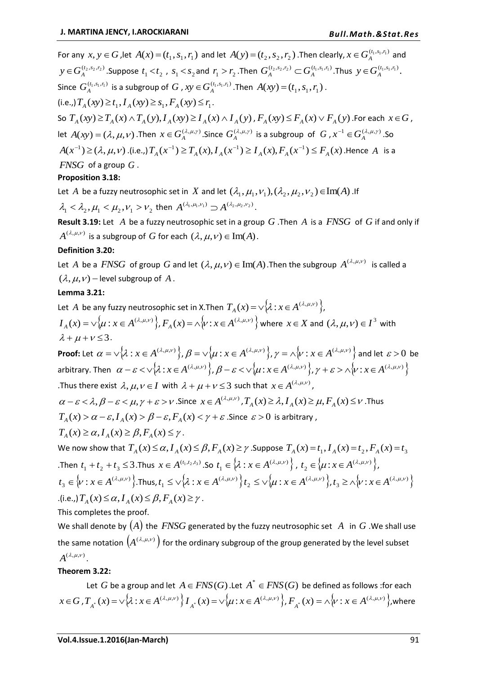For any  $x, y \in G$ , let  $A(x) = (t_1, s_1, r_1)$  and let  $A(y) = (t_2, s_2, r_2)$ . Then clearly,  $x \in G_A^{(t_1, s_1, r_1)}$  and  $y\!\in\! G_A^{(t_2,s_2,r_2)}.$  Suppose  $\,t_1\!<\!t_2$  ,  $\,s_1\!<\!s_2$  and  $\,r_1\!> \!r_2$  . Then  $\,G_A^{(t_2,s_2,r_2)}\subset\! G_A^{(t_1,s_1,r_1)}$  $G_A^{(t_2, s_2, r_2)} \subset G_A^{(t_1, s_1, r_1)}$ . Thus  $y \in G_A^{(t_1, s_1, r_1)}$ . Since  $G_A^{(t_1,s_1,r_1)}$  is a subgroup of  $G$  ,  $xy \in G_A^{(t_1,s_1,r_1)}$  .Then  $A(xy) \!=\! (t_1,s_1,r_1)$  .  $(i.e.,) T_A(xy) \ge t_1, I_A(xy) \ge s_1, F_A(xy) \le r_1.$ So  $T_A(xy) \ge T_A(x) \wedge T_A(y), I_A(xy) \ge I_A(x) \wedge I_A(y)$  ,  $F_A(xy) \le F_A(x) \vee F_A(y)$  .For each  $x \in G$  , let  $A(xy) = (\lambda, \mu, \nu)$ . Then  $x \in G_A^{(\lambda, \mu, \gamma)}$ . Since  $G_A^{(\lambda, \mu, \gamma)}$  is a subgroup of  $G, x^{-1} \in G_A^{(\lambda, \mu, \gamma)}$ . So  $A(x^{-1}) \ge (\lambda, \mu, \nu)$  .(i.e.,)  $T_A(x^{-1}) \ge T_A(x), I_A(x^{-1}) \ge I_A(x), F_A(x^{-1}) \le F_A(x)$  .Hence  $A$  is a *FNSG* of a group *G* .

# **Proposition 3.18:**

Let  $A$  be a fuzzy neutrosophic set in  $X$  and let  $(\lambda_1, \mu_1, \nu_1), (\lambda_2, \mu_2, \nu_2) \in \text{Im}(A)$  . If  $\lambda_1 < \lambda_2, \mu_1 < \mu_2, \nu_1 > \nu_2$  then  $A^{(\lambda_1, \mu_1, \nu_1)} \supset A^{(\lambda_2, \mu_2, \nu_2)}.$ 

**Result 3.19:** Let A be a fuzzy neutrosophic set in a group  $G$  . Then A is a  $FNSG$  of  $G$  if and only if  $A^{(\lambda,\mu,\nu)}$  is a subgroup of  $G$  for each  $(\lambda,\mu,\nu)\in\mathrm{Im}(A)$  .

# **Definition 3.20:**

Let A be a  $FNSG$  of group G and let  $(\lambda, \mu, \nu) \in \text{Im}(A)$ . Then the subgroup  $A^{(\lambda, \mu, \nu)}$  is called a  $(\lambda, \mu, \nu)$  – level subgroup of A.

## **Lemma 3.21:**

Let  $A$  be any fuzzy neutrosophic set in X.Then  $T_A(x) = \vee \{ \lambda : x \in A^{(\lambda,\mu,\nu)} \},$  $I_A(x) = \vee \{ \mu : x \in A^{(\lambda,\mu,\nu)} \}, F_A(x) = \wedge \{ \nu : x \in A^{(\lambda,\mu,\nu)} \}$  where  $x \in X$  and  $(\lambda,\mu,\nu) \in I^3$  with  $\lambda + \mu + \nu \leq 3$ .

**Proof:** Let  $\alpha = \vee \{ \lambda : x \in A^{(\lambda,\mu,\nu)} \}, \beta = \vee \{ \mu : x \in A^{(\lambda,\mu,\nu)} \}, \gamma = \wedge \{ \nu : x \in A^{(\lambda,\mu,\nu)} \}$  and let  $\varepsilon > 0$  be arbitrary. Then  $\alpha - \varepsilon < \vee \{ \lambda : x \in A^{(\lambda,\mu,\nu)} \}, \beta - \varepsilon < \vee \{ \mu : x \in A^{(\lambda,\mu,\nu)} \}, \gamma + \varepsilon > \wedge \{ \nu : x \in A^{(\lambda,\mu,\nu)} \}$ . Thus there exist  $\lambda, \mu, \nu \in I$  with  $\lambda + \mu + \nu \leq 3$  such that  $x \in A^{(\lambda,\mu,\nu)}$ ,

 $\alpha-\varepsilon < \lambda, \beta-\varepsilon < \mu, \gamma+\varepsilon > \nu$ . Since  $x \in A^{(\lambda,\mu,\nu)}$ ,  $T_A(x) \ge \lambda, I_A(x) \ge \mu, F_A(x) \le \nu$ . Thus  $T_A(x) > \alpha - \varepsilon, I_A(x) > \beta - \varepsilon, F_A(x) < \gamma + \varepsilon$  . Since  $\varepsilon > 0$  is arbitrary,

$$
T_A(x) \ge \alpha, I_A(x) \ge \beta, F_A(x) \le \gamma.
$$

We now show that  $T_A(x) \le \alpha$ ,  $I_A(x) \le \beta$ ,  $F_A(x) \ge \gamma$  . Suppose  $T_A(x) = t_1$ ,  $I_A(x) = t_2$ ,  $F_A(x) = t_3$ .Then  $t_1 + t_2 + t_3 \leq 3$ .Thus  $x \in A^{(t_1,t_2,t_3)}$ .So  $t_1 \in \{ \lambda : x \in A^{(\lambda,\mu,\nu)} \}$ ,  $t_1 \in \left\{ \lambda : x \in A^{(\lambda,\mu,\nu)} \right\}, t_2 \in \left\{ \mu : x \in A^{(\lambda,\mu,\nu)} \right\},$  $t_2 \in \{\mu : x \in A^{(\lambda,\mu,\nu)}\}\,$  $\{\nu : x \in A^{(\lambda,\mu,\nu)}\}$ .  $t_3 \in \left\{v : x \in A^{(\lambda,\mu,\nu)}\right\}$ . Thus,  $t_1 \leq \sqrt{\lambda} : x \in A^{(\lambda,\mu,\nu)}\left\{v\right\}$  $t_1 \leq \sqrt{\lambda}: x \in A^{(\lambda,\mu,\nu)} \, \Big\} t_2 \leq \sqrt{\mu: x \in A^{(\lambda,\mu,\nu)}} \Big\},$  $t_2 \leq \sqrt{\mu : x \in A^{(\lambda,\mu,\nu)}}$ ,  $t_3 \geq \sqrt{\nu : x \in A^{(\lambda,\mu,\nu)}}$  $t_3 \ge \wedge \sqrt{\nu}$ :  $x \in A^{(\lambda,\mu,\nu)}$  $I_A$ (*x*)  $\leq \alpha$ ,  $I_A$  (*x*)  $\leq \beta$ ,  $F_A$  (*x*)  $\geq \gamma$ .

This completes the proof.

We shall denote by  $(A)$  the  $\emph{FNSG}$  generated by the fuzzy neutrosophic set  $\emph{A}$  in  $G$  . We shall use the same notation  $(A^{(\lambda,\mu,\nu)})$  for the ordinary subgroup of the group generated by the level subset  $A^{(\lambda,\mu,\nu)}$ 

# **Theorem 3.22:**

Let  $G$  be a group and let  $A \in FNS(G)$  . Let  $A^* \in FNS(G)$  be defined as follows : for each  $x \in G$  ,  $T_{A^*}(x) = \vee \{\lambda : x \in A^{(\lambda,\mu,\nu)}\}\$   $I_{A^*}(x) = \vee \{\mu : x \in A^{(\lambda,\mu,\nu)}\}\$ ,  $F_{A^*}(x) = \wedge \{\nu : x \in A^{(\lambda,\mu,\nu)}\}$ , where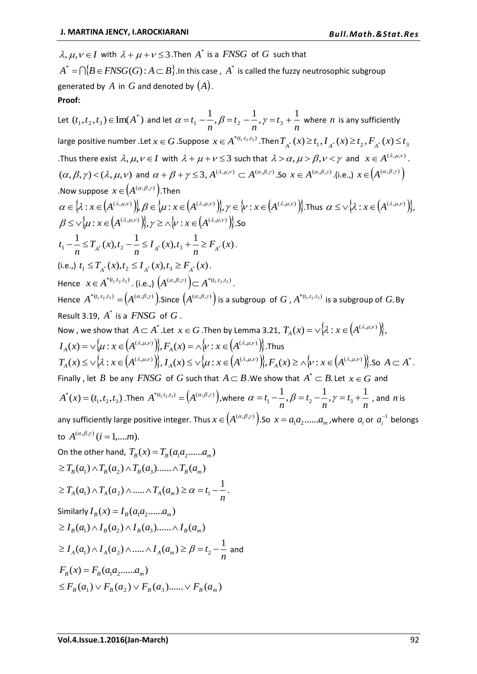$\lambda, \mu, \nu \in I$  with  $\lambda + \mu + \nu \leq 3$ . Then  $A^*$  is a *FNSG* of  $G$  such that

 $A^* = \bigcap \{B \in FNSG(G)$  :  $A \subset B\}$  .In this case ,  $A^*$  is called the fuzzy neutrosophic subgroup generated by  $A$  in  $G$  and denoted by  $(A)$ . **Proof:**

Let  $(t_1, t_2, t_3) \in \text{Im}(A^*)$  and let  $\alpha = t_1 - \frac{1}{n}, \beta = t_2 - \frac{1}{n}, \gamma = t_3 + \frac{1}{n}$ *t n t n*  $\alpha = t_1 - \frac{1}{\beta}, \beta = t_2 - \frac{1}{\beta}, \gamma = t_3 + \frac{1}{\beta}$  where *n* is any sufficiently large positive number .Let  $x \in G$  .Suppose  $x \in A^{*(t_1,t_2,t_3)}$  .Then  $T_{A^*}(x) \ge t_1$ ,  $I_{A^*}(x) \ge t_2$  ,  $F_{A^*}(x) \le t_3$ Thus there exist  $\lambda, \mu, \nu \in I$  with  $\lambda + \mu + \nu \leq 3$  such that  $\lambda > \alpha, \mu > \beta, \nu < \gamma$  and  $x \in A^{(\lambda, \mu, \nu)}$ .  $(\alpha, \beta, \gamma) < (\lambda, \mu, \nu)$  and  $\alpha + \beta + \gamma \leq 3$ ,  $A^{(\lambda, \mu, \nu)} \subset A^{(\alpha, \beta, \gamma)}$ . So  $x \in A^{(\alpha, \beta, \gamma)}$ . (i.e.,)  $x \in (A^{(\alpha, \beta, \gamma)})$ .Now suppose  $x \in (A^{(\alpha,\beta,\gamma)})$ .Then  $\alpha \in \{\lambda : x \in (A^{(\lambda,\mu,\nu)})\}\!, \beta \in \{\mu : x \in (A^{(\lambda,\mu,\nu)})\}\!, \gamma \in \{\nu : x \in (A^{(\lambda,\mu,\nu)})\}\!,$ Thus  $\alpha \leq \vee \{\lambda : x \in (A^{(\lambda,\mu,\nu)})\}\!,$  $\beta \leq \vee \{ \mu : x \in (A^{(\lambda,\mu,\nu)}) \}, \gamma \geq \wedge \{ \nu : x \in (A^{(\lambda,\mu,\nu)}) \}.$ So  $\frac{1}{n} - \frac{1}{n} \le T_{A^*}(x), t_2 - \frac{1}{n} \le I_{A^*}(x), t_3 + \frac{1}{n} \ge F_{A^*}(x)$  $I_*(x)$ ,t *n*  $T_{i^*}(x)$ , t *n*  $t_1 - \frac{1}{n} \leq T_{A^*}(x), t_2 - \frac{1}{n} \leq I_{A^*}(x), t_3 + \frac{1}{n} \geq F_{A^*}(x)$ . (i.e.,)  $t_1 \leq T_{A^*}(x), t_2 \leq I_{A^*}(x), t_3 \geq F_{A^*}(x)$ . Hence  $x \in A^{*(t_1,t_2,t_3)}$ . (i.e.,)  $(A^{(\alpha,\beta,\gamma)}) \subset A^{*(t_1,t_2,t_3)}$ . Hence  $A^{*(t_1,t_2,t_3)} = (A^{(\alpha,\beta,\gamma)})$ . Since  $(A^{(\alpha,\beta,\gamma)})$  is a subgroup of G,  $A^{*(t_1,t_2,t_3)}$  is a subgroup of G. By Result 3.19,  $A^*$  is a  $FNSG$  of  $G$ . Now , we show that  $A\subset A^*$  .Let  $x\in G$  .Then by Lemma 3.21,  $T_A(x)=\vee\big\{\!\!\mathcal X:x\in\!\left(A^{(\lambda,\mu,\nu)}\right)\!\!\big\},$  $I_A(x)=\vee\{\mu: x\in\left(A^{(\lambda,\mu,\nu)}\right)\}, F_A(x)=\wedge\{\nu: x\in\left(A^{(\lambda,\mu,\nu)}\right)\}.$  Thus  $T_A(x) \le \sqrt{\lambda}$ :  $x \in (A^{(\lambda,\mu,\nu)})$ ,  $I_A(x) \le \sqrt{\mu}$ :  $x \in (A^{(\lambda,\mu,\nu)})$ ,  $F_A(x) \ge \wedge \sqrt{\nu}$ :  $x \in (A^{(\lambda,\mu,\nu)})$ . So  $A \subset A^*$ . Finally, let B be any  $FNSG$  of G such that  $A \subset B$ . We show that  $A^* \subset B$ . Let  $x \in G$  and  $A^*(x) = (t_1, t_2, t_3)$ . Then  $A^{*(t_1, t_2, t_3)} = (A^{(\alpha, \beta, \gamma)})$ , where  $\alpha = t_1 - \frac{1}{n}, \beta = t_2 - \frac{1}{n}, \gamma = t_3 + \frac{1}{n}$ *t n t n*  $\alpha = t_1 - \frac{1}{n}, \beta = t_2 - \frac{1}{n}, \gamma = t_3 + \frac{1}{n}$ , and *n* is any sufficiently large positive integer. Thus  $x \in (A^{(\alpha,\beta,\gamma)})$ . So  $x = a_1a_2.....a_m$  , where  $a_i$  or  $a_i^{-1}$  belongs to  $A^{(\alpha,\beta,\gamma)}$   $(i = 1,...m)$ . On the other hand,  $T_B(x) = T_B(a_1 a_2 ...... a_m)$  $\geq T_B(a_1) \wedge T_B(a_2) \wedge T_B(a_3) \dots \wedge T_B(a_m)$  $\geq T_A(a_1) \wedge T_A(a_2) \wedge \dots \wedge T_A(a_m) \geq \alpha = t_1 - \frac{1}{n}.$ Similarly  $I_B(x) = I_B(a_1 a_2 ..... a_m)$  $\geq I_B(a_1) \wedge I_B(a_2) \wedge I_B(a_3) \dots \wedge I_B(a_m)$  $\geq I_{A}(a_{1})\wedge I_{A}(a_{2})\wedge.....\wedge I_{A}(a_{m})\geq\beta=t_{2}-\dfrac{1}{n}$  and  $F_p(x) = F_p(a_1 a_2 \dots a_m)$  $\leq F_p(a_1) \vee F_p(a_2) \vee F_p(a_3) \dots \vee F_p(a_m)$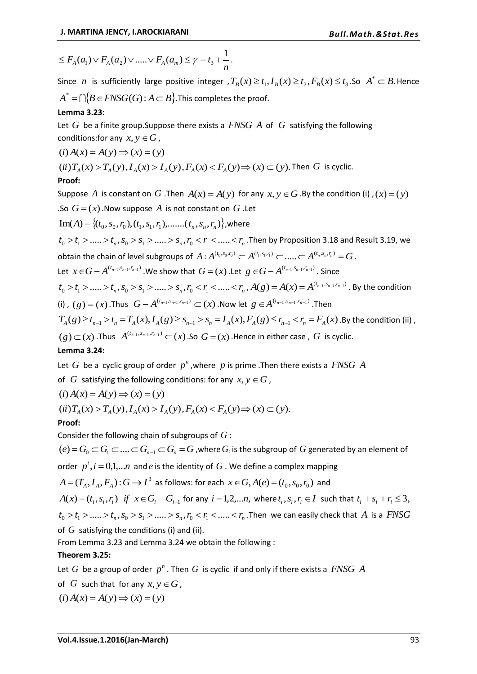$$
\leq F_A(a_1) \vee F_A(a_2) \vee \dots \vee F_A(a_m) \leq \gamma = t_3 + \frac{1}{n}.
$$

Since *n* is sufficiently large positive integer  $, T_B(x) \ge t_1, I_B(x) \ge t_2, F_B(x) \le t_3$ . So  $A^* \subset B$ . Hence  $A^* = \bigcap \{B \in FNSG(G)$  :  $A \mathop{\subset} B\}$  .This completes the proof.

## **Lemma 3.23:**

Let G be a finite group. Suppose there exists a  $FNSG$  A of G satisfying the following conditions: for any  $x, y \in G$ ,

$$
(i) A(x) = A(y) \Rightarrow (x) = (y)
$$

$$
(ii) T_A(x) > T_A(y), I_A(x) > I_A(y), F_A(x) < F_A(y) \Rightarrow (x) \subset (y)
$$
. Then *G* is cyclic.

# **Proof:**

Suppose A is constant on G. Then  $A(x) = A(y)$  for any  $x, y \in G$ . By the condition (i),  $(x) = (y)$ .So  $G = (x)$ . Now suppose A is not constant on G . Let

Im(A) = {
$$
(t_0, s_0, r_0), (t_1, s_1, r_1), \dots, (t_n, s_n, r_n)
$$
}, where

 $t_0 > t_1 > ...... > t_n, s_0 > s_1 > ...... > s_n, r_0 < r_1 < ...... < r_n$ . Then by Proposition 3.18 and Result 3.19, we obtain the chain of level subgroups of  $A$  :  $A^{(t_0,s_0,r_0)} \subset A^{(t_1,s_1,r_1)} \subset ..... \subset A^{(t_n,s_n,r_n)} = G$  .

Let  $x \in G - A^{(t_{n-1}, s_{n-1}, r_{n-1})}$  We show that  $G = (x)$  . Let  $g \in G - A^{(t_{n-1}, s_{n-1}, r_{n-1})}$  . Since

$$
t_0 > t_1 > \dots > t_n, s_0 > s_1 > \dots > s_n, r_0 < r_1 < \dots < r_n, A(g) = A(x) = A^{(t_{n-1}, s_{n-1}, r_{n-1})}
$$
. By the condition (i), (g) = (x). Thus  $G - A^{(t_{n-1}, s_{n-1}, r_{n-1})} \subset (x)$ . Now let  $g \in A^{(t_{n-1}, s_{n-1}, r_{n-1})}$ . Then

$$
T_A(g) \ge t_{n-1} > t_n = T_A(x), I_A(g) \ge s_{n-1} > s_n = I_A(x), F_A(g) \le r_{n-1} < r_n = F_A(x)
$$
. By the condition (ii),

 $f(g) \subset (x)$  .Thus  $A^{(t_{n-1}, s_{n-1}, r_{n-1})} \subset (x)$  .So  $G = (x)$  .Hence in either case ,  $G$  is cyclic.

### **Lemma 3.24:**

Let  $G$  be a cyclic group of order  $p^n$  , where  $p$  is prime . Then there exists a  $FNSG$   $A$ 

of  $G$  satisfying the following conditions: for any  $x, y \in G$ ,

$$
(i) A(x) = A(y) \Rightarrow (x) = (y)
$$

 $(iii) T_{4}(x) > T_{4}(y), I_{4}(x) > I_{4}(y), F_{4}(x) < F_{4}(y) \Rightarrow (x) \subset (y).$ 

# **Proof:**

Consider the following chain of subgroups of *G* :

 $(e)$  =  $G_0$   $\subset$   $G_1$   $\subset$  ....  $\subset$   $G_{n-1}$   $\subset$   $G_n$  =  $G$  , where  $G_i$  is the subgroup of  $G$  generated by an element of order  $p^i$ ,  $i = 0,1,...n$  and  $e$  is the identity of  $G$  . We define a complex mapping

$$
A = (T_A, I_A, F_A): G \to I^3
$$
 as follows: for each  $x \in G$ ,  $A(e) = (t_0, s_0, r_0)$  and

 $A(x) = (t_i, s_i, r_i)$  if  $x \in G_i - G_{i-1}$  for any  $i = 1, 2, \ldots n$ , where  $t_i, s_i, r_i \in I$  such that  $t_i + s_i + r_i \leq 3$ ,  $t_0 > t_1 > ...... > t_n, s_0 > s_1 > ...... > s_n, r_0 < r_1 < ...... < r_n$ . Then we can easily check that A is a *FNSG* of *G* satisfying the conditions (i) and (ii).

From Lemma 3.23 and Lemma 3.24 we obtain the following :

# **Theorem 3.25:**

Let  $G$  be a group of order  $p^n$ . Then  $G$  is cyclic if and only if there exists a  $FNSG$   $A$ 

- of  $G$  such that for any  $x, y \in G$ ,
- $(i) A(x) = A(y) \implies (x) = (y)$